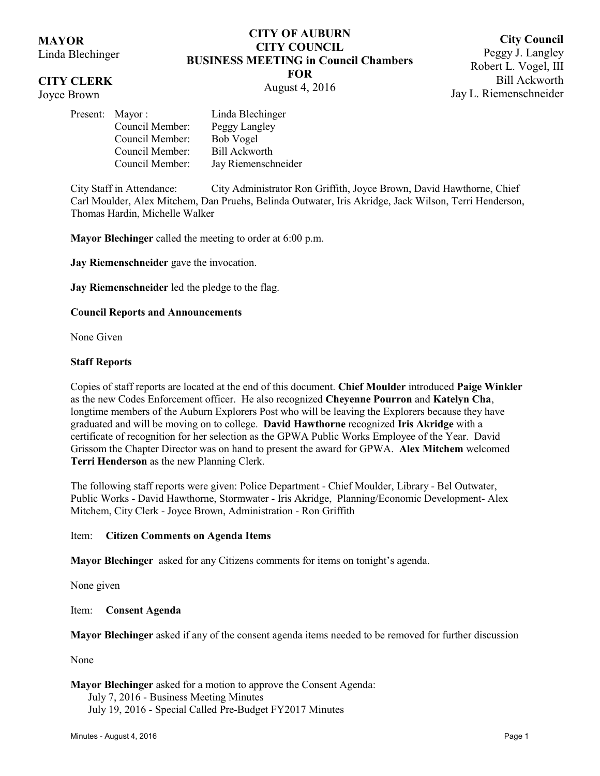# **MAYOR**

Linda Blechinger

## **CITY CLERK**

Joyce Brown

### **CITY OF AUBURN CITY COUNCIL BUSINESS MEETING in Council Chambers FOR** August 4, 2016

**City Council** Peggy J. Langley Robert L. Vogel, III Bill Ackworth Jay L. Riemenschneider

|  | Present: Mayor: | Linda Blechinger     |
|--|-----------------|----------------------|
|  | Council Member: | Peggy Langley        |
|  | Council Member: | Bob Vogel            |
|  | Council Member: | <b>Bill Ackworth</b> |
|  | Council Member: | Jay Riemenschneider  |
|  |                 |                      |

City Staff in Attendance: City Administrator Ron Griffith, Joyce Brown, David Hawthorne, Chief Carl Moulder, Alex Mitchem, Dan Pruehs, Belinda Outwater, Iris Akridge, Jack Wilson, Terri Henderson, Thomas Hardin, Michelle Walker

**Mayor Blechinger** called the meeting to order at 6:00 p.m.

**Jay Riemenschneider** gave the invocation.

**Jay Riemenschneider** led the pledge to the flag.

#### **Council Reports and Announcements**

None Given

#### **Staff Reports**

Copies of staff reports are located at the end of this document. **Chief Moulder** introduced **Paige Winkler** as the new Codes Enforcement officer. He also recognized **Cheyenne Pourron** and **Katelyn Cha**, longtime members of the Auburn Explorers Post who will be leaving the Explorers because they have graduated and will be moving on to college. **David Hawthorne** recognized **Iris Akridge** with a certificate of recognition for her selection as the GPWA Public Works Employee of the Year. David Grissom the Chapter Director was on hand to present the award for GPWA. **Alex Mitchem** welcomed **Terri Henderson** as the new Planning Clerk.

The following staff reports were given: Police Department - Chief Moulder, Library - Bel Outwater, Public Works - David Hawthorne, Stormwater - Iris Akridge, Planning/Economic Development- Alex Mitchem, City Clerk - Joyce Brown, Administration - Ron Griffith

#### Item: **Citizen Comments on Agenda Items**

**Mayor Blechinger** asked for any Citizens comments for items on tonight's agenda.

None given

#### Item: **Consent Agenda**

**Mayor Blechinger** asked if any of the consent agenda items needed to be removed for further discussion

None

**Mayor Blechinger** asked for a motion to approve the Consent Agenda: July 7, 2016 - Business Meeting Minutes

July 19, 2016 - Special Called Pre-Budget FY2017 Minutes